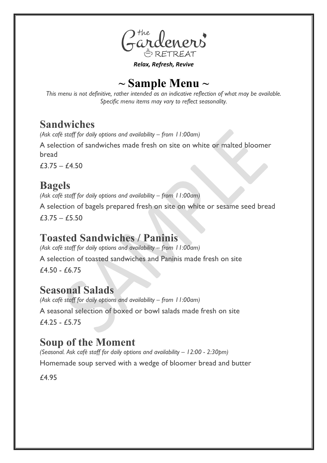

*Relax, Refresh, Revive*

# **~ Sample Menu ~**

*This menu is not definitive, rather intended as an indicative reflection of what may be available. Specific menu items may vary to reflect seasonality.* 

# **Sandwiches**

*(Ask café staff for daily options and availability – from 11:00am)*

A selection of sandwiches made fresh on site on white or malted bloomer bread

 $£3.75 - £4.50$ 

# **Bagels**

*(Ask café staff for daily options and availability – from 11:00am)*

A selection of bagels prepared fresh on site on white or sesame seed bread  $£3.75 - £5.50$ 

### **Toasted Sandwiches / Paninis**

*(Ask café staff for daily options and availability – from 11:00am)*

A selection of toasted sandwiches and Paninis made fresh on site  $f4.50 - f6.75$ 

### **Seasonal Salads**

*(Ask café staff for daily options and availability – from 11:00am)* A seasonal selection of boxed or bowl salads made fresh on site £4.25 - £5.75

# **Soup of the Moment**

*(Seasonal. Ask café staff for daily options and availability – 12:00 - 2:30pm)*

Homemade soup served with a wedge of bloomer bread and butter

£4.95